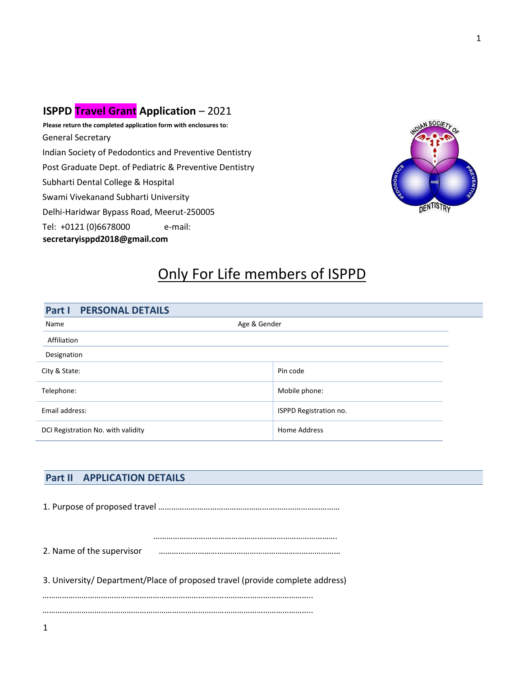### **ISPPD Travel Grant Application** – 2021

**Please return the completed application form with enclosures to:** General Secretary Indian Society of Pedodontics and Preventive Dentistry Post Graduate Dept. of Pediatric & Preventive Dentistry Subharti Dental College & Hospital Swami Vivekanand Subharti University Delhi-Haridwar Bypass Road, Meerut-250005 Tel: +0121 (0)6678000 e-mail: **secretaryisppd2018@gmail.com**



## Only For Life members of ISPPD

| <b>PERSONAL DETAILS</b><br>Part I  |                        |
|------------------------------------|------------------------|
| Age & Gender<br>Name               |                        |
| Affiliation                        |                        |
| Designation                        |                        |
| City & State:                      | Pin code               |
| Telephone:                         | Mobile phone:          |
| Email address:                     | ISPPD Registration no. |
| DCI Registration No. with validity | <b>Home Address</b>    |

#### **Part II APPLICATION DETAILS**

1. Purpose of proposed travel …………………………………………………………………………

 …………………………………………………………………………. 2. Name of the supervisor …………………………………………………………………………

3. University/ Department/Place of proposed travel (provide complete address)

…………………………………………………………………………………………………………….. ……………………………………………………………………………………………………………..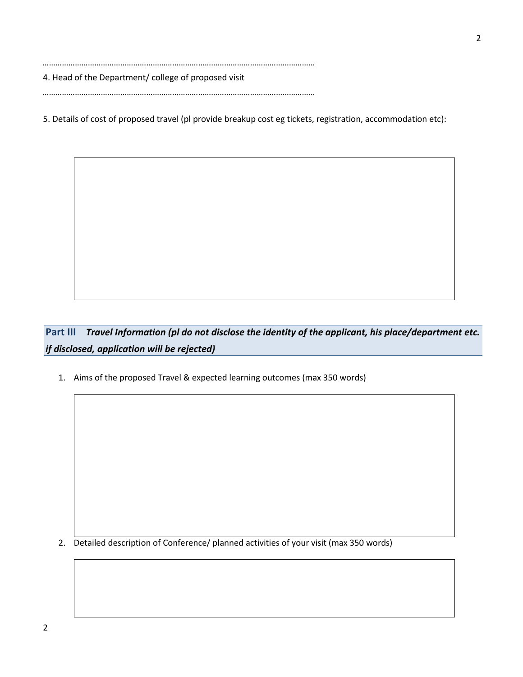……………………………………………………………………………………………………………… 4. Head of the Department/ college of proposed visit

………………………………………………………………………………………………………………

5. Details of cost of proposed travel (pl provide breakup cost eg tickets, registration, accommodation etc):

**Part III** *Travel Information (pl do not disclose the identity of the applicant, his place/department etc. if disclosed, application will be rejected)*

1. Aims of the proposed Travel & expected learning outcomes (max 350 words)

2. Detailed description of Conference/ planned activities of your visit (max 350 words)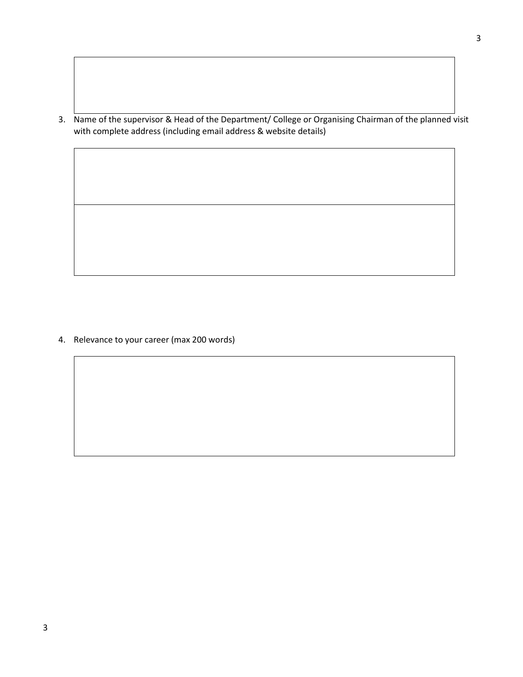3. Name of the supervisor & Head of the Department/ College or Organising Chairman of the planned visit with complete address (including email address & website details)

4. Relevance to your career (max 200 words)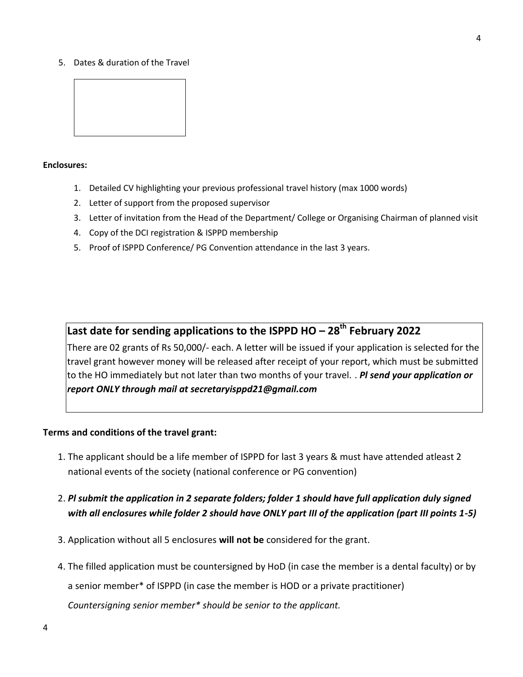5. Dates & duration of the Travel



#### **Enclosures:**

- 1. Detailed CV highlighting your previous professional travel history (max 1000 words)
- 2. Letter of support from the proposed supervisor
- 3. Letter of invitation from the Head of the Department/ College or Organising Chairman of planned visit
- 4. Copy of the DCI registration & ISPPD membership
- 5. Proof of ISPPD Conference/ PG Convention attendance in the last 3 years.

### **Last date for sending applications to the ISPPD HO – 28th February 2022**

There are 02 grants of Rs 50,000/- each. A letter will be issued if your application is selected for the travel grant however money will be released after receipt of your report, which must be submitted to the HO immediately but not later than two months of your travel. . *Pl send your application or report ONLY through mail at secretaryisppd21@gmail.com*

#### **Terms and conditions of the travel grant:**

- 1. The applicant should be a life member of ISPPD for last 3 years & must have attended atleast 2 national events of the society (national conference or PG convention)
- 2. *Pl submit the application in 2 separate folders; folder 1 should have full application duly signed with all enclosures while folder 2 should have ONLY part III of the application (part III points 1-5)*
- 3. Application without all 5 enclosures **will not be** considered for the grant.
- 4. The filled application must be countersigned by HoD (in case the member is a dental faculty) or by a senior member\* of ISPPD (in case the member is HOD or a private practitioner) *Countersigning senior member\* should be senior to the applicant.*